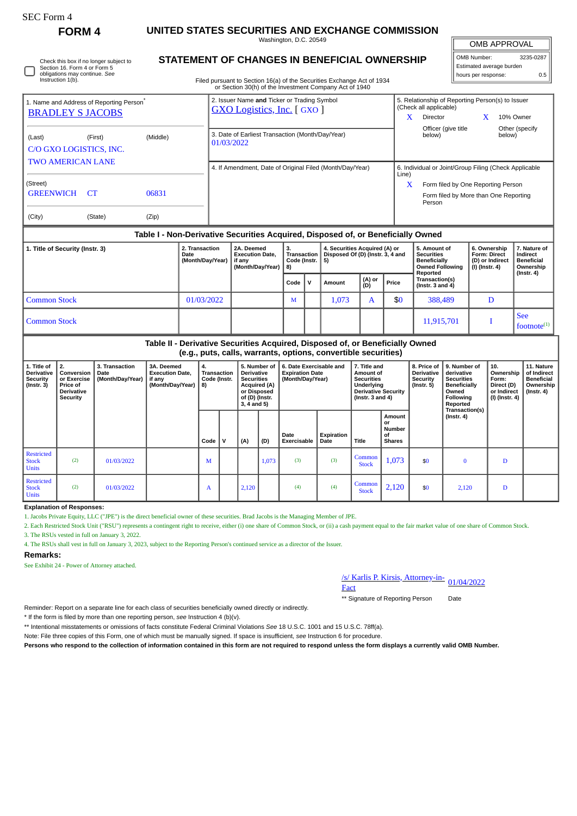| SEC Form 4 |
|------------|
|------------|

Instruction 1(b).

Check this box if no longer subject to Section 16. Form 4 or Form 5 obligations may continue. *See*

## **FORM 4 UNITED STATES SECURITIES AND EXCHANGE COMMISSION**

Washington, D.C. 20549 **STATEMENT OF CHANGES IN BENEFICIAL OWNERSHIP**

OMB APPROVAL

| OMB Number:              | 3235-0287 |  |  |  |  |  |  |  |  |  |
|--------------------------|-----------|--|--|--|--|--|--|--|--|--|
| Estimated average burden |           |  |  |  |  |  |  |  |  |  |
| hours per response:      | 0.5       |  |  |  |  |  |  |  |  |  |

Filed pursuant to Section 16(a) of the Securities Exchange Act of 1934

|                                                      |           |          |                                                   | or Section 30(h) of the Investment Company Act of 1940                           |                                                         |                                                                            |     |            |                                                                                                                         |                                                                          |  |                                                                                |
|------------------------------------------------------|-----------|----------|---------------------------------------------------|----------------------------------------------------------------------------------|---------------------------------------------------------|----------------------------------------------------------------------------|-----|------------|-------------------------------------------------------------------------------------------------------------------------|--------------------------------------------------------------------------|--|--------------------------------------------------------------------------------|
| 1. Name and Address of Reporting Person <sup>®</sup> |           |          |                                                   | 2. Issuer Name and Ticker or Trading Symbol<br><b>GXO Logistics, Inc.</b> [GXO]  |                                                         | 5. Relationship of Reporting Person(s) to Issuer<br>(Check all applicable) |     |            |                                                                                                                         |                                                                          |  |                                                                                |
| <b>BRADLEY S JACOBS</b>                              |           |          |                                                   |                                                                                  |                                                         |                                                                            |     | X          | Director                                                                                                                | X                                                                        |  | 10% Owner                                                                      |
| (Last)<br>C/O GXO LOGISTICS, INC.                    | (First)   | (Middle) |                                                   | 3. Date of Earliest Transaction (Month/Day/Year)<br>01/03/2022                   |                                                         | Officer (give title<br>below)                                              |     | below)     | Other (specify                                                                                                          |                                                                          |  |                                                                                |
| <b>TWO AMERICAN LANE</b>                             |           |          |                                                   | 4. If Amendment, Date of Original Filed (Month/Day/Year)                         |                                                         | 6. Individual or Joint/Group Filing (Check Applicable                      |     |            |                                                                                                                         |                                                                          |  |                                                                                |
| (Street)                                             |           |          |                                                   |                                                                                  |                                                         |                                                                            |     | Line)<br>X | Form filed by One Reporting Person                                                                                      |                                                                          |  |                                                                                |
| <b>GREENWICH</b>                                     | <b>CT</b> | 06831    |                                                   |                                                                                  |                                                         |                                                                            |     |            | Form filed by More than One Reporting<br>Person                                                                         |                                                                          |  |                                                                                |
| (City)                                               | (State)   | (Zip)    |                                                   |                                                                                  |                                                         |                                                                            |     |            |                                                                                                                         |                                                                          |  |                                                                                |
|                                                      |           |          |                                                   | Table I - Non-Derivative Securities Acquired, Disposed of, or Beneficially Owned |                                                         |                                                                            |     |            |                                                                                                                         |                                                                          |  |                                                                                |
| 1. Title of Security (Instr. 3)                      |           |          | 2. Transaction<br><b>Date</b><br>(Month/Day/Year) | 2A. Deemed<br><b>Execution Date.</b><br>if any<br>(Month/Day/Year)               | 3.<br><b>Transaction</b> I<br>Code (Instr. $ 5$ )<br>8) | 4. Securities Acquired (A) or<br>Disposed Of (D) (Instr. 3, 4 and          | (4) |            | 5. Amount of<br><b>Securities</b><br><b>Beneficially</b><br><b>Owned Following</b><br>Reported<br><b>Trancaction(c)</b> | 6. Ownership<br><b>Form: Direct</b><br>(D) or Indirect<br>(I) (Instr. 4) |  | 7. Nature of<br>Indirect<br><b>Beneficial</b><br>Ownership<br>$($ lnstr. 4 $)$ |

|                     |            | Code         | Amount | (A) or<br>(D)  | Price | Transaction(s)<br>$($ Instr. 3 and 4 $)$ |                              |
|---------------------|------------|--------------|--------|----------------|-------|------------------------------------------|------------------------------|
| <b>Common Stock</b> | 01/03/2022 | $\mathbf{M}$ | 1,073  | $\overline{1}$ | \$0   | 388,489                                  |                              |
| <b>Common Stock</b> |            |              |        |                |       | 11,915,701                               | <b>See</b><br>footnote $(1)$ |

## **Table II - Derivative Securities Acquired, Disposed of, or Beneficially Owned (e.g., puts, calls, warrants, options, convertible securities)**

|                                                            | .                                                                     |                                            |                                                                    |                                           |   |                                                                                                                        |       |                                                                       |                    |                                                                                                                    |                                                      |                                                                  |                                                                                                   |                                                                          |                                                                           |
|------------------------------------------------------------|-----------------------------------------------------------------------|--------------------------------------------|--------------------------------------------------------------------|-------------------------------------------|---|------------------------------------------------------------------------------------------------------------------------|-------|-----------------------------------------------------------------------|--------------------|--------------------------------------------------------------------------------------------------------------------|------------------------------------------------------|------------------------------------------------------------------|---------------------------------------------------------------------------------------------------|--------------------------------------------------------------------------|---------------------------------------------------------------------------|
| 1. Title of<br><b>Derivative</b><br>Security<br>(Instr. 3) | 2.<br>Conversion<br>or Exercise<br>Price of<br>Derivative<br>Security | 3. Transaction<br>Date<br>(Month/Day/Year) | 3A. Deemed<br><b>Execution Date,</b><br>if any<br>(Month/Day/Year) | 4.<br>Transaction<br>Code (Instr.<br>  8) |   | 5. Number of<br><b>Derivative</b><br><b>Securities</b><br>Acquired (A)<br>or Disposed<br>of (D) (Instr.<br>3, 4 and 5) |       | 6. Date Exercisable and<br><b>Expiration Date</b><br>(Month/Day/Year) |                    | 7. Title and<br>Amount of<br><b>Securities</b><br>Underlying<br><b>Derivative Security</b><br>( $Instr. 3 and 4$ ) |                                                      | 8. Price of<br><b>Derivative</b><br>Security<br>$($ lnstr. 5 $)$ | 9. Number of<br>derivative<br><b>Securities</b><br>Beneficially<br>Owned<br>Following<br>Reported | 10.<br>Ownership<br>Form:<br>Direct (D)<br>or Indirect<br>(I) (Instr. 4) | 11. Nature<br>of Indirect<br><b>Beneficial</b><br>Ownership<br>(Instr. 4) |
|                                                            |                                                                       |                                            |                                                                    | Code                                      | v | (A)                                                                                                                    | (D)   | Date<br><b>Exercisable</b>                                            | Expiration<br>Date | Title                                                                                                              | Amount<br>or<br><b>Number</b><br>of<br><b>Shares</b> |                                                                  | Transaction(s)<br>(Instr. 4)                                                                      |                                                                          |                                                                           |
| <b>Restricted</b><br><b>Stock</b><br><b>Units</b>          | (2)                                                                   | 01/03/2022                                 |                                                                    | М                                         |   |                                                                                                                        | 1,073 | (3)                                                                   | (3)                | Common<br><b>Stock</b>                                                                                             | 1,073                                                | \$0                                                              | $\theta$                                                                                          | D                                                                        |                                                                           |
| <b>Restricted</b><br><b>Stock</b><br><b>Units</b>          | (2)                                                                   | 01/03/2022                                 |                                                                    | A                                         |   | 2,120                                                                                                                  |       | (4)                                                                   | (4)                | <b>Common</b><br><b>Stock</b>                                                                                      | 2,120                                                | \$0                                                              | 2,120                                                                                             | D                                                                        |                                                                           |

**Explanation of Responses:**

1. Jacobs Private Equity, LLC ("JPE") is the direct beneficial owner of these securities. Brad Jacobs is the Managing Member of JPE.

2. Each Restricted Stock Unit ("RSU") represents a contingent right to receive, either (i) one share of Common Stock, or (ii) a cash payment equal to the fair market value of one share of Common Stock. 3. The RSUs vested in full on January 3, 2022.

4. The RSUs shall vest in full on January 3, 2023, subject to the Reporting Person's continued service as a director of the Issuer.

## **Remarks:**

See Exhibit 24 - Power of Attorney attached.

/s/ Karlis P. Kirsis, <u>Attorney-in-</u><br>Fact

\*\* Signature of Reporting Person Date

Reminder: Report on a separate line for each class of securities beneficially owned directly or indirectly.

\* If the form is filed by more than one reporting person, *see* Instruction 4 (b)(v).

\*\* Intentional misstatements or omissions of facts constitute Federal Criminal Violations *See* 18 U.S.C. 1001 and 15 U.S.C. 78ff(a).

Note: File three copies of this Form, one of which must be manually signed. If space is insufficient, *see* Instruction 6 for procedure.

**Persons who respond to the collection of information contained in this form are not required to respond unless the form displays a currently valid OMB Number.**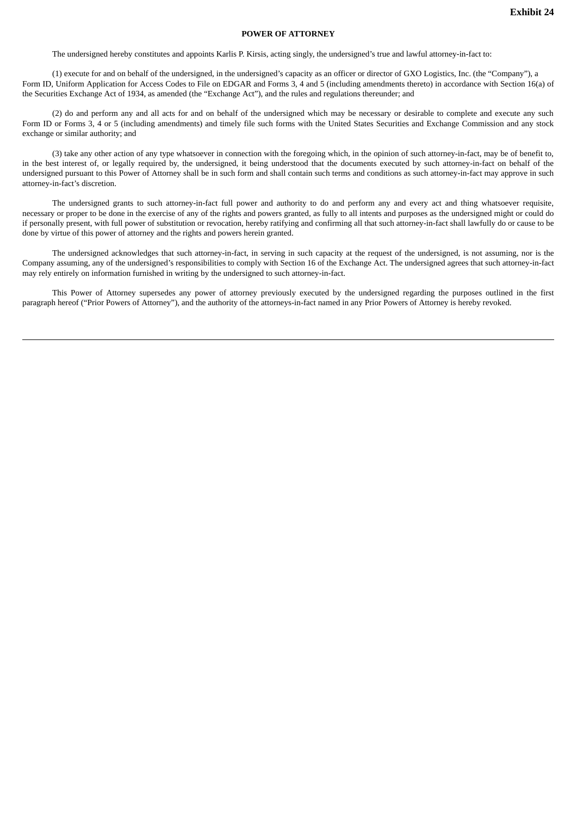## **POWER OF ATTORNEY**

The undersigned hereby constitutes and appoints Karlis P. Kirsis, acting singly, the undersigned's true and lawful attorney-in-fact to:

(1) execute for and on behalf of the undersigned, in the undersigned's capacity as an officer or director of GXO Logistics, Inc. (the "Company"), a Form ID, Uniform Application for Access Codes to File on EDGAR and Forms 3, 4 and 5 (including amendments thereto) in accordance with Section 16(a) of the Securities Exchange Act of 1934, as amended (the "Exchange Act"), and the rules and regulations thereunder; and

(2) do and perform any and all acts for and on behalf of the undersigned which may be necessary or desirable to complete and execute any such Form ID or Forms 3, 4 or 5 (including amendments) and timely file such forms with the United States Securities and Exchange Commission and any stock exchange or similar authority; and

(3) take any other action of any type whatsoever in connection with the foregoing which, in the opinion of such attorney-in-fact, may be of benefit to, in the best interest of, or legally required by, the undersigned, it being understood that the documents executed by such attorney-in-fact on behalf of the undersigned pursuant to this Power of Attorney shall be in such form and shall contain such terms and conditions as such attorney-in-fact may approve in such attorney-in-fact's discretion.

The undersigned grants to such attorney-in-fact full power and authority to do and perform any and every act and thing whatsoever requisite, necessary or proper to be done in the exercise of any of the rights and powers granted, as fully to all intents and purposes as the undersigned might or could do if personally present, with full power of substitution or revocation, hereby ratifying and confirming all that such attorney-in-fact shall lawfully do or cause to be done by virtue of this power of attorney and the rights and powers herein granted.

The undersigned acknowledges that such attorney-in-fact, in serving in such capacity at the request of the undersigned, is not assuming, nor is the Company assuming, any of the undersigned's responsibilities to comply with Section 16 of the Exchange Act. The undersigned agrees that such attorney-in-fact may rely entirely on information furnished in writing by the undersigned to such attorney-in-fact.

This Power of Attorney supersedes any power of attorney previously executed by the undersigned regarding the purposes outlined in the first paragraph hereof ("Prior Powers of Attorney"), and the authority of the attorneys-in-fact named in any Prior Powers of Attorney is hereby revoked.